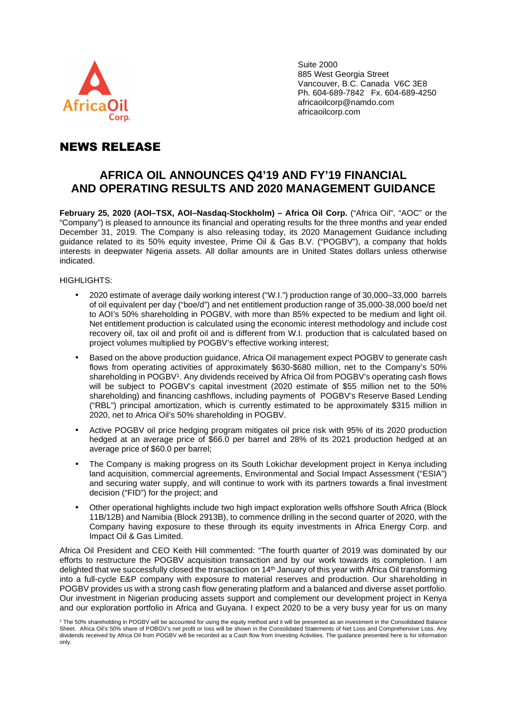

Suite 2000 885 West Georgia Street Vancouver, B.C. Canada V6C 3E8 Ph. 604-689-7842 Fx. 604-689-4250 africaoilcorp@namdo.com africaoilcorp.com

## NEWS RELEASE

# **AFRICA OIL ANNOUNCES Q4'19 AND FY'19 FINANCIAL AND OPERATING RESULTS AND 2020 MANAGEMENT GUIDANCE**

**February 25, 2020 (AOI–TSX, AOI–Nasdaq-Stockholm) – Africa Oil Corp.** ("Africa Oil", "AOC" or the "Company") is pleased to announce its financial and operating results for the three months and year ended December 31, 2019. The Company is also releasing today, its 2020 Management Guidance including guidance related to its 50% equity investee, Prime Oil & Gas B.V. ("POGBV"), a company that holds interests in deepwater Nigeria assets. All dollar amounts are in United States dollars unless otherwise indicated.

HIGHLIGHTS:

- 2020 estimate of average daily working interest ("W.I.") production range of 30,000–33,000 barrels of oil equivalent per day ("boe/d") and net entitlement production range of 35,000-38,000 boe/d net to AOI's 50% shareholding in POGBV, with more than 85% expected to be medium and light oil. Net entitlement production is calculated using the economic interest methodology and include cost recovery oil, tax oil and profit oil and is different from W.I. production that is calculated based on project volumes multiplied by POGBV's effective working interest;
- Based on the above production guidance, Africa Oil management expect POGBV to generate cash flows from operating activities of approximately \$630-\$680 million, net to the Company's 50% shareholding in POGBV<sup>1</sup> . Any dividends received by Africa Oil from POGBV's operating cash flows will be subject to POGBV's capital investment (2020 estimate of \$55 million net to the 50% shareholding) and financing cashflows, including payments of POGBV's Reserve Based Lending ("RBL") principal amortization, which is currently estimated to be approximately \$315 million in 2020, net to Africa Oil's 50% shareholding in POGBV.
- Active POGBV oil price hedging program mitigates oil price risk with 95% of its 2020 production hedged at an average price of \$66.0 per barrel and 28% of its 2021 production hedged at an average price of \$60.0 per barrel;
- The Company is making progress on its South Lokichar development project in Kenya including land acquisition, commercial agreements, Environmental and Social Impact Assessment ("ESIA") and securing water supply, and will continue to work with its partners towards a final investment decision ("FID") for the project; and
- Other operational highlights include two high impact exploration wells offshore South Africa (Block 11B/12B) and Namibia (Block 2913B), to commence drilling in the second quarter of 2020, with the Company having exposure to these through its equity investments in Africa Energy Corp. and Impact Oil & Gas Limited.

Africa Oil President and CEO Keith Hill commented: "The fourth quarter of 2019 was dominated by our efforts to restructure the POGBV acquisition transaction and by our work towards its completion. I am delighted that we successfully closed the transaction on 14<sup>th</sup> January of this year with Africa Oil transforming into a full-cycle E&P company with exposure to material reserves and production. Our shareholding in POGBV provides us with a strong cash flow generating platform and a balanced and diverse asset portfolio. Our investment in Nigerian producing assets support and complement our development project in Kenya and our exploration portfolio in Africa and Guyana. I expect 2020 to be a very busy year for us on many

<sup>&</sup>lt;sup>1</sup> The 50% shareholding in POGBV will be accounted for using the equity method and it will be presented as an investment in the Consolidated Balance Sheet. Africa Oil's 50% share of POBGV's net profit or loss will be shown in the Consolidated Statements of Net Loss and Comprehensive Loss. Any dividends received by Africa Oil from POGBV will be recorded as a Cash flow from Investing Activities. The guidance presented here is for information only.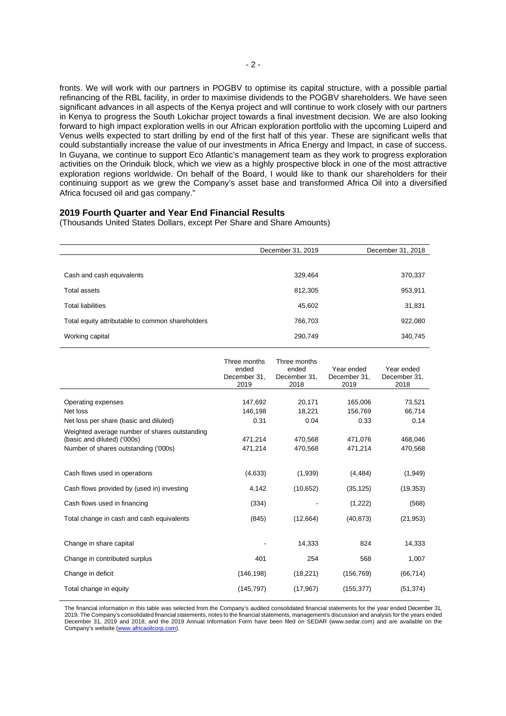fronts. We will work with our partners in POGBV to optimise its capital structure, with a possible partial refinancing of the RBL facility, in order to maximise dividends to the POGBV shareholders. We have seen significant advances in all aspects of the Kenya project and will continue to work closely with our partners in Kenya to progress the South Lokichar project towards a final investment decision. We are also looking forward to high impact exploration wells in our African exploration portfolio with the upcoming Luiperd and Venus wells expected to start drilling by end of the first half of this year. These are significant wells that could substantially increase the value of our investments in Africa Energy and Impact, in case of success. In Guyana, we continue to support Eco Atlantic's management team as they work to progress exploration activities on the Orinduik block, which we view as a highly prospective block in one of the most attractive exploration regions worldwide. On behalf of the Board, I would like to thank our shareholders for their continuing support as we grew the Company's asset base and transformed Africa Oil into a diversified Africa focused oil and gas company."

## **2019 Fourth Quarter and Year End Financial Results**

(Thousands United States Dollars, except Per Share and Share Amounts)

|                                                  | December 31, 2019 | December 31, 2018 |
|--------------------------------------------------|-------------------|-------------------|
|                                                  |                   |                   |
| Cash and cash equivalents                        | 329,464           | 370,337           |
| Total assets                                     | 812,305           | 953,911           |
| <b>Total liabilities</b>                         | 45,602            | 31,831            |
| Total equity attributable to common shareholders | 766,703           | 922,080           |
| Working capital                                  | 290,749           | 340,745           |

|                                                                              | Three months<br>ended<br>December 31,<br>2019 | Three months<br>ended<br>December 31.<br>2018 | Year ended<br>December 31,<br>2019 | Year ended<br>December 31,<br>2018 |
|------------------------------------------------------------------------------|-----------------------------------------------|-----------------------------------------------|------------------------------------|------------------------------------|
| Operating expenses                                                           | 147,692                                       | 20.171                                        | 165,006                            | 73,521                             |
| Net loss                                                                     | 146.198                                       | 18,221                                        | 156,769                            | 66,714                             |
| Net loss per share (basic and diluted)                                       | 0.31                                          | 0.04                                          | 0.33                               | 0.14                               |
| Weighted average number of shares outstanding<br>(basic and diluted) ('000s) | 471,214                                       | 470.568                                       | 471.076                            | 468,046                            |
| Number of shares outstanding ('000s)                                         | 471,214                                       | 470.568                                       | 471,214                            | 470.568                            |
|                                                                              |                                               |                                               |                                    |                                    |
| Cash flows used in operations                                                | (4,633)                                       | (1,939)                                       | (4, 484)                           | (1,949)                            |
| Cash flows provided by (used in) investing                                   | 4,142                                         | (10, 652)                                     | (35, 125)                          | (19, 353)                          |
| Cash flows used in financing                                                 | (334)                                         |                                               | (1,222)                            | (568)                              |
| Total change in cash and cash equivalents                                    | (845)                                         | (12,664)                                      | (40, 873)                          | (21, 953)                          |
| Change in share capital                                                      |                                               | 14,333                                        | 824                                | 14,333                             |
| Change in contributed surplus                                                | 401                                           | 254                                           | 568                                | 1,007                              |
| Change in deficit                                                            | (146, 198)                                    | (18, 221)                                     | (156, 769)                         | (66, 714)                          |
| Total change in equity                                                       | (145, 797)                                    | (17, 967)                                     | (155, 377)                         | (51, 374)                          |

The financial information in this table was selected from the Company's audited consolidated financial statements for the year ended December 31, 2019. The Company's consolidated financial statements, notes to the financial statements, management's discussion and analysis for the years ended<br>December 31, 2019 and 2018, and the 2019 Annual Information Form have been Company's website (www.africaoilcorp.com).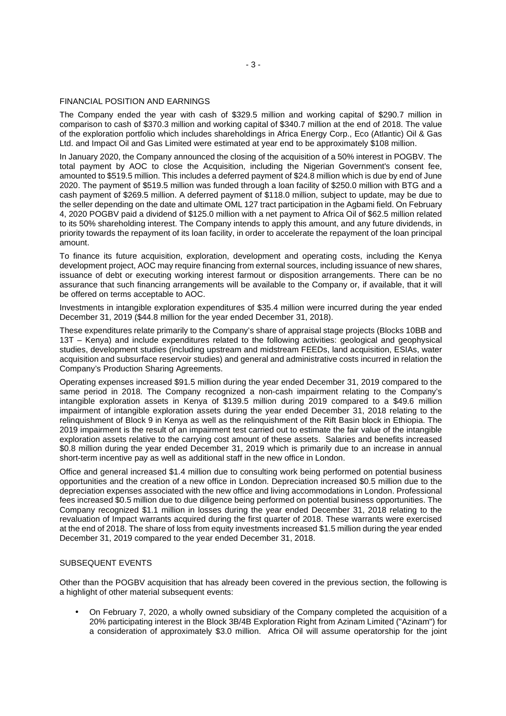## FINANCIAL POSITION AND EARNINGS

The Company ended the year with cash of \$329.5 million and working capital of \$290.7 million in comparison to cash of \$370.3 million and working capital of \$340.7 million at the end of 2018. The value of the exploration portfolio which includes shareholdings in Africa Energy Corp., Eco (Atlantic) Oil & Gas Ltd. and Impact Oil and Gas Limited were estimated at year end to be approximately \$108 million.

In January 2020, the Company announced the closing of the acquisition of a 50% interest in POGBV. The total payment by AOC to close the Acquisition, including the Nigerian Government's consent fee, amounted to \$519.5 million. This includes a deferred payment of \$24.8 million which is due by end of June 2020. The payment of \$519.5 million was funded through a loan facility of \$250.0 million with BTG and a cash payment of \$269.5 million. A deferred payment of \$118.0 million, subject to update, may be due to the seller depending on the date and ultimate OML 127 tract participation in the Agbami field. On February 4, 2020 POGBV paid a dividend of \$125.0 million with a net payment to Africa Oil of \$62.5 million related to its 50% shareholding interest. The Company intends to apply this amount, and any future dividends, in priority towards the repayment of its loan facility, in order to accelerate the repayment of the loan principal amount.

To finance its future acquisition, exploration, development and operating costs, including the Kenya development project, AOC may require financing from external sources, including issuance of new shares, issuance of debt or executing working interest farmout or disposition arrangements. There can be no assurance that such financing arrangements will be available to the Company or, if available, that it will be offered on terms acceptable to AOC.

Investments in intangible exploration expenditures of \$35.4 million were incurred during the year ended December 31, 2019 (\$44.8 million for the year ended December 31, 2018).

These expenditures relate primarily to the Company's share of appraisal stage projects (Blocks 10BB and 13T – Kenya) and include expenditures related to the following activities: geological and geophysical studies, development studies (including upstream and midstream FEEDs, land acquisition, ESIAs, water acquisition and subsurface reservoir studies) and general and administrative costs incurred in relation the Company's Production Sharing Agreements.

Operating expenses increased \$91.5 million during the year ended December 31, 2019 compared to the same period in 2018. The Company recognized a non-cash impairment relating to the Company's intangible exploration assets in Kenya of \$139.5 million during 2019 compared to a \$49.6 million impairment of intangible exploration assets during the year ended December 31, 2018 relating to the relinquishment of Block 9 in Kenya as well as the relinquishment of the Rift Basin block in Ethiopia. The 2019 impairment is the result of an impairment test carried out to estimate the fair value of the intangible exploration assets relative to the carrying cost amount of these assets. Salaries and benefits increased \$0.8 million during the year ended December 31, 2019 which is primarily due to an increase in annual short-term incentive pay as well as additional staff in the new office in London.

Office and general increased \$1.4 million due to consulting work being performed on potential business opportunities and the creation of a new office in London. Depreciation increased \$0.5 million due to the depreciation expenses associated with the new office and living accommodations in London. Professional fees increased \$0.5 million due to due diligence being performed on potential business opportunities. The Company recognized \$1.1 million in losses during the year ended December 31, 2018 relating to the revaluation of Impact warrants acquired during the first quarter of 2018. These warrants were exercised at the end of 2018. The share of loss from equity investments increased \$1.5 million during the year ended December 31, 2019 compared to the year ended December 31, 2018.

#### SUBSEQUENT EVENTS

Other than the POGBV acquisition that has already been covered in the previous section, the following is a highlight of other material subsequent events:

• On February 7, 2020, a wholly owned subsidiary of the Company completed the acquisition of a 20% participating interest in the Block 3B/4B Exploration Right from Azinam Limited ("Azinam") for a consideration of approximately \$3.0 million. Africa Oil will assume operatorship for the joint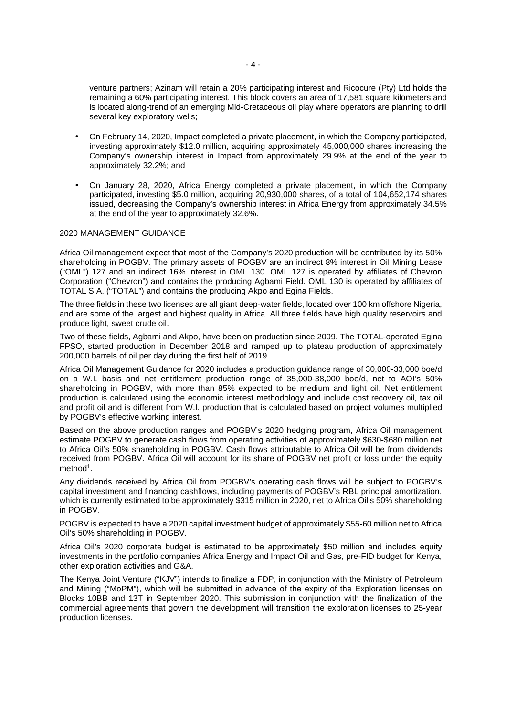venture partners; Azinam will retain a 20% participating interest and Ricocure (Pty) Ltd holds the remaining a 60% participating interest. This block covers an area of 17,581 square kilometers and is located along-trend of an emerging Mid-Cretaceous oil play where operators are planning to drill several key exploratory wells;

- On February 14, 2020, Impact completed a private placement, in which the Company participated, investing approximately \$12.0 million, acquiring approximately 45,000,000 shares increasing the Company's ownership interest in Impact from approximately 29.9% at the end of the year to approximately 32.2%; and
- On January 28, 2020, Africa Energy completed a private placement, in which the Company participated, investing \$5.0 million, acquiring 20,930,000 shares, of a total of 104,652,174 shares issued, decreasing the Company's ownership interest in Africa Energy from approximately 34.5% at the end of the year to approximately 32.6%.

#### 2020 MANAGEMENT GUIDANCE

Africa Oil management expect that most of the Company's 2020 production will be contributed by its 50% shareholding in POGBV. The primary assets of POGBV are an indirect 8% interest in Oil Mining Lease ("OML") 127 and an indirect 16% interest in OML 130. OML 127 is operated by affiliates of Chevron Corporation ("Chevron") and contains the producing Agbami Field. OML 130 is operated by affiliates of TOTAL S.A. ("TOTAL") and contains the producing Akpo and Egina Fields.

The three fields in these two licenses are all giant deep-water fields, located over 100 km offshore Nigeria, and are some of the largest and highest quality in Africa. All three fields have high quality reservoirs and produce light, sweet crude oil.

Two of these fields, Agbami and Akpo, have been on production since 2009. The TOTAL-operated Egina FPSO, started production in December 2018 and ramped up to plateau production of approximately 200,000 barrels of oil per day during the first half of 2019.

Africa Oil Management Guidance for 2020 includes a production guidance range of 30,000-33,000 boe/d on a W.I. basis and net entitlement production range of 35,000-38,000 boe/d, net to AOI's 50% shareholding in POGBV, with more than 85% expected to be medium and light oil. Net entitlement production is calculated using the economic interest methodology and include cost recovery oil, tax oil and profit oil and is different from W.I. production that is calculated based on project volumes multiplied by POGBV's effective working interest.

Based on the above production ranges and POGBV's 2020 hedging program, Africa Oil management estimate POGBV to generate cash flows from operating activities of approximately \$630-\$680 million net to Africa Oil's 50% shareholding in POGBV. Cash flows attributable to Africa Oil will be from dividends received from POGBV. Africa Oil will account for its share of POGBV net profit or loss under the equity method<sup>1</sup>.

Any dividends received by Africa Oil from POGBV's operating cash flows will be subject to POGBV's capital investment and financing cashflows, including payments of POGBV's RBL principal amortization, which is currently estimated to be approximately \$315 million in 2020, net to Africa Oil's 50% shareholding in POGBV.

POGBV is expected to have a 2020 capital investment budget of approximately \$55-60 million net to Africa Oil's 50% shareholding in POGBV.

Africa Oil's 2020 corporate budget is estimated to be approximately \$50 million and includes equity investments in the portfolio companies Africa Energy and Impact Oil and Gas, pre-FID budget for Kenya, other exploration activities and G&A.

The Kenya Joint Venture ("KJV") intends to finalize a FDP, in conjunction with the Ministry of Petroleum and Mining ("MoPM"), which will be submitted in advance of the expiry of the Exploration licenses on Blocks 10BB and 13T in September 2020. This submission in conjunction with the finalization of the commercial agreements that govern the development will transition the exploration licenses to 25-year production licenses.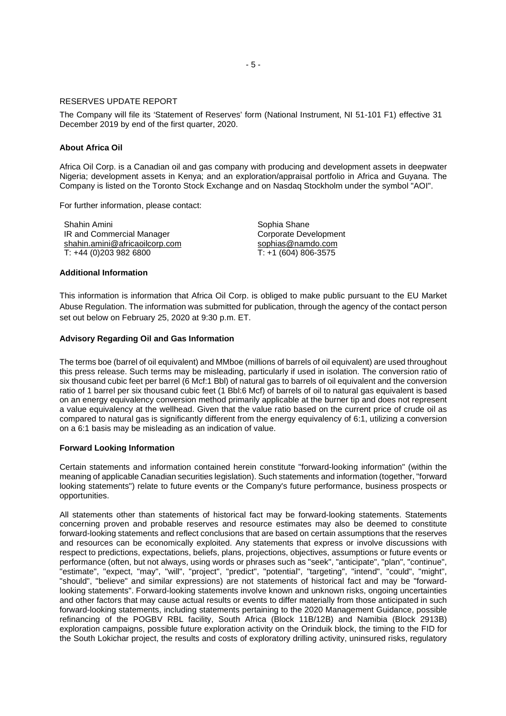#### RESERVES UPDATE REPORT

The Company will file its 'Statement of Reserves' form (National Instrument, NI 51-101 F1) effective 31 December 2019 by end of the first quarter, 2020.

#### **About Africa Oil**

Africa Oil Corp. is a Canadian oil and gas company with producing and development assets in deepwater Nigeria; development assets in Kenya; and an exploration/appraisal portfolio in Africa and Guyana. The Company is listed on the Toronto Stock Exchange and on Nasdaq Stockholm under the symbol "AOI".

For further information, please contact:

Shahin Amini IR and Commercial Manager shahin.amini@africaoilcorp.com T: +44 (0)203 982 6800

Sophia Shane Corporate Development sophias@namdo.com T: +1 (604) 806-3575

#### **Additional Information**

This information is information that Africa Oil Corp. is obliged to make public pursuant to the EU Market Abuse Regulation. The information was submitted for publication, through the agency of the contact person set out below on February 25, 2020 at 9:30 p.m. ET.

## **Advisory Regarding Oil and Gas Information**

The terms boe (barrel of oil equivalent) and MMboe (millions of barrels of oil equivalent) are used throughout this press release. Such terms may be misleading, particularly if used in isolation. The conversion ratio of six thousand cubic feet per barrel (6 Mcf:1 Bbl) of natural gas to barrels of oil equivalent and the conversion ratio of 1 barrel per six thousand cubic feet (1 Bbl:6 Mcf) of barrels of oil to natural gas equivalent is based on an energy equivalency conversion method primarily applicable at the burner tip and does not represent a value equivalency at the wellhead. Given that the value ratio based on the current price of crude oil as compared to natural gas is significantly different from the energy equivalency of 6:1, utilizing a conversion on a 6:1 basis may be misleading as an indication of value.

## **Forward Looking Information**

Certain statements and information contained herein constitute "forward-looking information" (within the meaning of applicable Canadian securities legislation). Such statements and information (together, "forward looking statements") relate to future events or the Company's future performance, business prospects or opportunities.

All statements other than statements of historical fact may be forward-looking statements. Statements concerning proven and probable reserves and resource estimates may also be deemed to constitute forward-looking statements and reflect conclusions that are based on certain assumptions that the reserves and resources can be economically exploited. Any statements that express or involve discussions with respect to predictions, expectations, beliefs, plans, projections, objectives, assumptions or future events or performance (often, but not always, using words or phrases such as "seek", "anticipate", "plan", "continue", "estimate", "expect, "may", "will", "project", "predict", "potential", "targeting", "intend", "could", "might", "should", "believe" and similar expressions) are not statements of historical fact and may be "forwardlooking statements". Forward-looking statements involve known and unknown risks, ongoing uncertainties and other factors that may cause actual results or events to differ materially from those anticipated in such forward-looking statements, including statements pertaining to the 2020 Management Guidance, possible refinancing of the POGBV RBL facility, South Africa (Block 11B/12B) and Namibia (Block 2913B) exploration campaigns, possible future exploration activity on the Orinduik block, the timing to the FID for the South Lokichar project, the results and costs of exploratory drilling activity, uninsured risks, regulatory